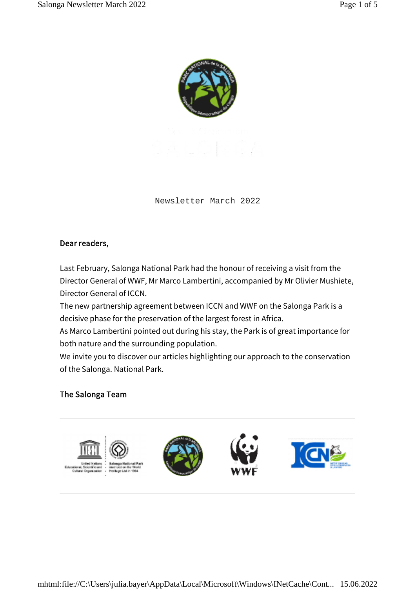

Newsletter March 2022

## Dear readers,

Last February, Salonga National Park had the honour of receiving a visit from the Director General of WWF, Mr Marco Lambertini, accompanied by Mr Olivier Mushiete, Director General of ICCN.

The new partnership agreement between ICCN and WWF on the Salonga Park is a decisive phase for the preservation of the largest forest in Africa.

As Marco Lambertini pointed out during his stay, the Park is of great importance for both nature and the surrounding population.

We invite you to discover our articles highlighting our approach to the conservation of the Salonga. National Park.

## The Salonga Team

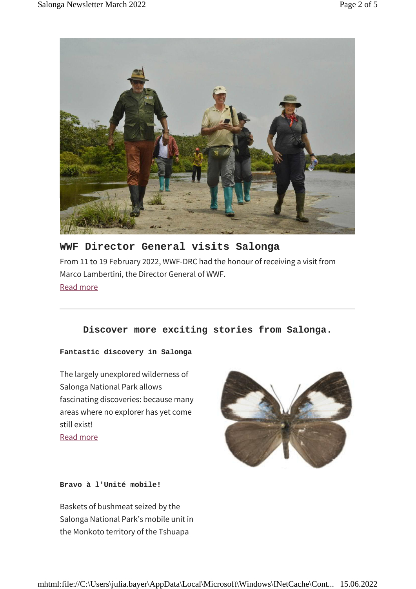

# **WWF Director General visits Salonga** From 11 to 19 February 2022, WWF-DRC had the honour of receiving a visit from Marco Lambertini, the Director General of WWF. Read more

## **Discover more exciting stories from Salonga.**

**Fantastic discovery in Salonga**

The largely unexplored wilderness of Salonga National Park allows fascinating discoveries: because many areas where no explorer has yet come still exist! Read more



**Bravo à l'Unité mobile!**

Baskets of bushmeat seized by the Salonga National Park's mobile unit in the Monkoto territory of the Tshuapa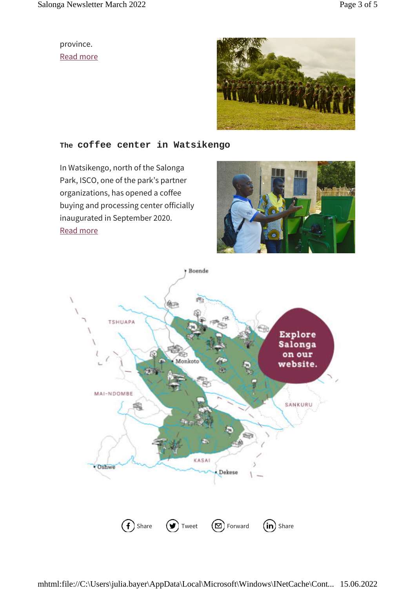province. Read more



### **The coffee center in Watsikengo**

In Watsikengo, north of the Salonga Park, ISCO, one of the park's partner organizations, has opened a coffee buying and processing center officially inaugurated in September 2020. Read more



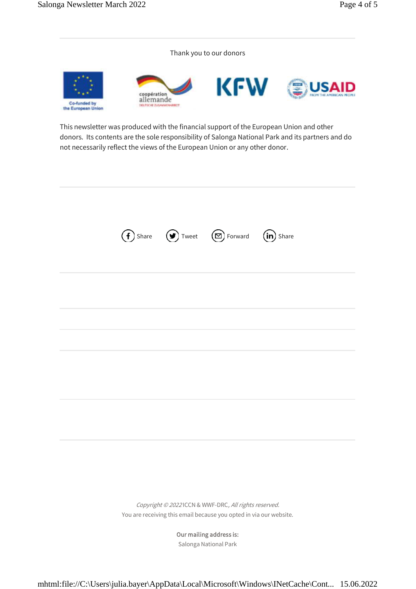Thank you to our donors



This newsletter was produced with the financial support of the European Union and other donors. Its contents are the sole responsibility of Salonga National Park and its partners and do not necessarily reflect the views of the European Union or any other donor.



Copyright © 2022 ICCN & WWF-DRC, All rights reserved. You are receiving this email because you opted in via our website.

> Our mailing address is: Salonga National Park